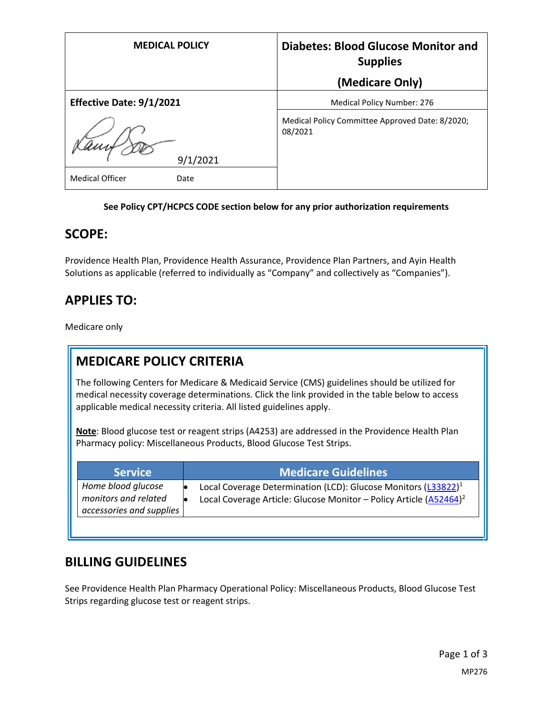| <b>MEDICAL POLICY</b>          | <b>Diabetes: Blood Glucose Monitor and</b><br><b>Supplies</b><br>(Medicare Only) |
|--------------------------------|----------------------------------------------------------------------------------|
| Effective Date: 9/1/2021       | <b>Medical Policy Number: 276</b>                                                |
| 9/1/2021                       | Medical Policy Committee Approved Date: 8/2020;<br>08/2021                       |
| <b>Medical Officer</b><br>Date |                                                                                  |

#### **See Policy CPT/HCPCS CODE section below for any prior authorization requirements**

### **SCOPE:**

Providence Health Plan, Providence Health Assurance, Providence Plan Partners, and Ayin Health Solutions as applicable (referred to individually as "Company" and collectively as "Companies").

## **APPLIES TO:**

Medicare only

# **MEDICARE POLICY CRITERIA**

The following Centers for Medicare & Medicaid Service (CMS) guidelines should be utilized for medical necessity coverage determinations. Click the link provided in the table below to access applicable medical necessity criteria. All listed guidelines apply.

**Note**: Blood glucose test or reagent strips (A4253) are addressed in the Providence Health Plan Pharmacy policy: Miscellaneous Products, Blood Glucose Test Strips.

| <b>Service</b>                                                         | <b>Medicare Guidelines</b>                                                                                                                          |
|------------------------------------------------------------------------|-----------------------------------------------------------------------------------------------------------------------------------------------------|
| Home blood glucose<br>monitors and related<br>accessories and supplies | Local Coverage Determination (LCD): Glucose Monitors (L33822) <sup>1</sup><br>Local Coverage Article: Glucose Monitor - Policy Article $(A52464)^2$ |
|                                                                        |                                                                                                                                                     |

## **BILLING GUIDELINES**

See Providence Health Plan Pharmacy Operational Policy: Miscellaneous Products, Blood Glucose Test Strips regarding glucose test or reagent strips.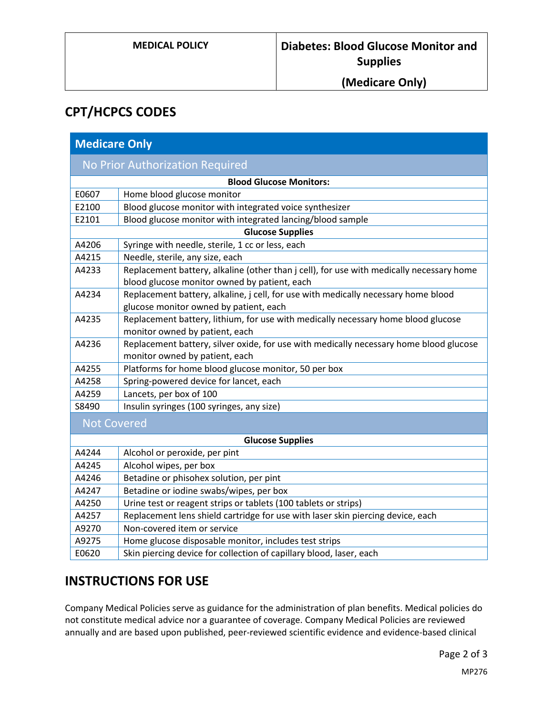## **(Medicare Only)**

# **CPT/HCPCS CODES**

| <b>Medicare Only</b>                   |                                                                                          |
|----------------------------------------|------------------------------------------------------------------------------------------|
| <b>No Prior Authorization Required</b> |                                                                                          |
| <b>Blood Glucose Monitors:</b>         |                                                                                          |
| E0607                                  | Home blood glucose monitor                                                               |
| E2100                                  | Blood glucose monitor with integrated voice synthesizer                                  |
| E2101                                  | Blood glucose monitor with integrated lancing/blood sample                               |
| <b>Glucose Supplies</b>                |                                                                                          |
| A4206                                  | Syringe with needle, sterile, 1 cc or less, each                                         |
| A4215                                  | Needle, sterile, any size, each                                                          |
| A4233                                  | Replacement battery, alkaline (other than j cell), for use with medically necessary home |
|                                        | blood glucose monitor owned by patient, each                                             |
| A4234                                  | Replacement battery, alkaline, j cell, for use with medically necessary home blood       |
|                                        | glucose monitor owned by patient, each                                                   |
| A4235                                  | Replacement battery, lithium, for use with medically necessary home blood glucose        |
|                                        | monitor owned by patient, each                                                           |
| A4236                                  | Replacement battery, silver oxide, for use with medically necessary home blood glucose   |
|                                        | monitor owned by patient, each                                                           |
| A4255                                  | Platforms for home blood glucose monitor, 50 per box                                     |
| A4258                                  | Spring-powered device for lancet, each                                                   |
| A4259                                  | Lancets, per box of 100                                                                  |
| S8490                                  | Insulin syringes (100 syringes, any size)                                                |
| <b>Not Covered</b>                     |                                                                                          |
| <b>Glucose Supplies</b>                |                                                                                          |
| A4244                                  | Alcohol or peroxide, per pint                                                            |
| A4245                                  | Alcohol wipes, per box                                                                   |
| A4246                                  | Betadine or phisohex solution, per pint                                                  |
| A4247                                  | Betadine or iodine swabs/wipes, per box                                                  |
| A4250                                  | Urine test or reagent strips or tablets (100 tablets or strips)                          |
| A4257                                  | Replacement lens shield cartridge for use with laser skin piercing device, each          |
| A9270                                  | Non-covered item or service                                                              |
| A9275                                  | Home glucose disposable monitor, includes test strips                                    |
| E0620                                  | Skin piercing device for collection of capillary blood, laser, each                      |

## **INSTRUCTIONS FOR USE**

Company Medical Policies serve as guidance for the administration of plan benefits. Medical policies do not constitute medical advice nor a guarantee of coverage. Company Medical Policies are reviewed annually and are based upon published, peer-reviewed scientific evidence and evidence-based clinical